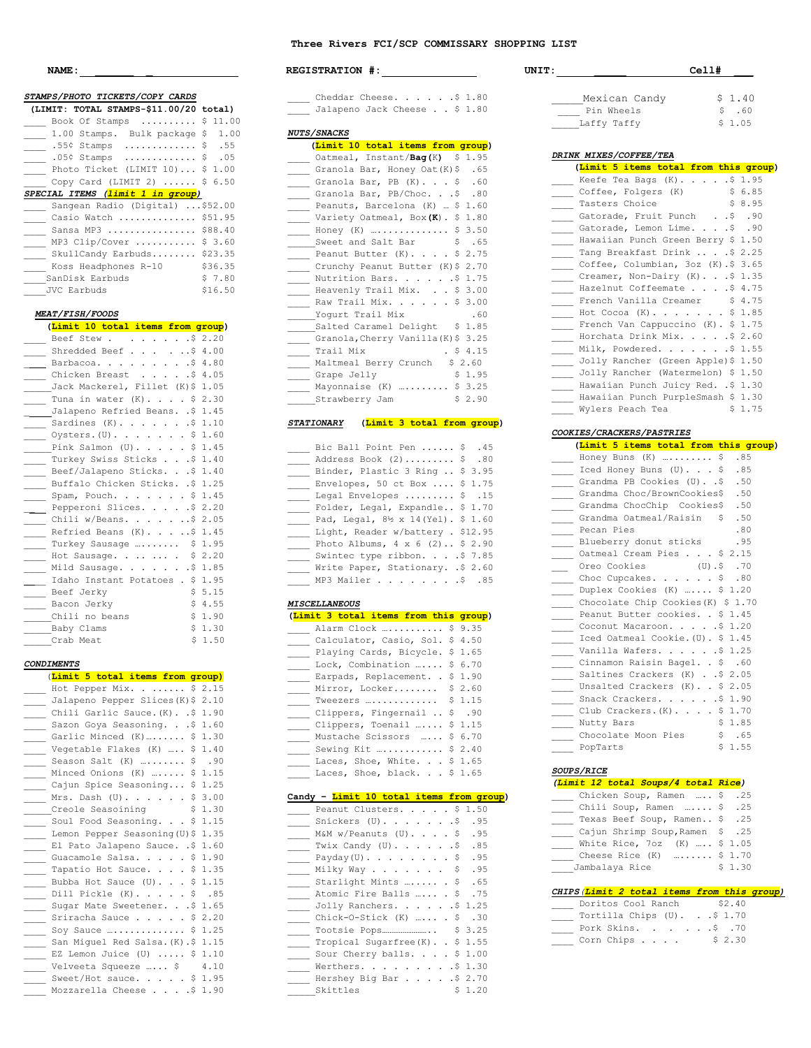## **Three Rivers FCI/SCP COMMISSARY SHOPPING LIST**

| <u>NAME :</u>                                                                                  |              |
|------------------------------------------------------------------------------------------------|--------------|
| STAMPS/PHOTO TICKETS/COPY CARDS                                                                |              |
| (LIMIT: TOTAL STAMPS-\$11.00/20 total)                                                         |              |
| Book Of Stamps $\ldots$                                                                        | \$11.00      |
| 1.00 Stamps. Bulk package \$                                                                   | 1.00         |
| $.55$ $\times$ Stamps                                                                          | .55<br>\$    |
| .05¢ Stamps<br>.                                                                               | \$<br>.05    |
| Photo Ticket (LIMIT 10)                                                                        | \$<br>1.00   |
| Copy Card (LIMIT 2)<br>SPECIAL ITEMS (limit 1 in group)                                        | \$<br>6.50   |
| Sangean Radio (Digital)  \$52.00                                                               |              |
| Casio Watch  \$51.95                                                                           |              |
| Sansa MP3  \$88.40                                                                             |              |
| MP3 Clip/Cover                                                                                 | \$3.60       |
| SkullCandy Earbuds \$23.35                                                                     |              |
| Koss Headphones R-10                                                                           | \$36.35      |
| SanDisk Earbuds                                                                                | \$7.80       |
| __ JVC Earbuds                                                                                 | \$16.50      |
|                                                                                                |              |
| <i>MEAT/FISH/FOODS</i>                                                                         |              |
| (Limit 10 total items from group)                                                              |              |
| Beef Stew.<br>$\cdot \cdot \cdot \cdot \cdot \cdot$ \$ 2.20<br>$\sim$<br>Shredded Beef \$ 4.00 |              |
| Barbacoa<br>$.$ \$4.80                                                                         |              |
| $\mathcal{L}^{\pm}$ .<br>$\bullet$<br>Chicken Breast<br>. .54.05                               |              |
| $\sim 100$ km s $^{-1}$<br>$\mathcal{L}^{\pm}$<br>Jack Mackerel, Fillet (K) \$ 1.05            |              |
| Tuna in water $(K)$ .<br>\$                                                                    | 2.30         |
| Jalapeno Refried Beans. .\$                                                                    | 1.45         |
| Sardines $(K)$ . \$                                                                            | 1.10         |
| Oysters. (U).<br>\$                                                                            | 1.60         |
| Pink Salmon $(U)$ .<br>\$                                                                      | 1.45         |
| Turkey Swiss Sticks \$                                                                         | 1.40         |
| Beef/Jalapeno Sticks. \$                                                                       | 1.40         |
| Buffalo Chicken Sticks. .\$                                                                    | 1.25         |
| Spam, Pouch.<br>\$                                                                             | 1.45         |
| Pepperoni Slices. \$                                                                           | 2.20         |
| Chili w/Beans. \$                                                                              | 2.05         |
| Refried Beans $(K)$ . \$                                                                       | 1.45         |
| Turkey Sausage<br>\$                                                                           | 1.95         |
| Hot Sausage  .<br>\$<br>Mild Sausage.                                                          | 2.20<br>1.85 |
| .\$<br>$\mathbf{r}^{\prime}$<br>Idaho Instant Potatoes . \$                                    | 1.95         |
| Beef Jerky<br>\$                                                                               | 5.15         |
| Bacon Jerky<br>\$                                                                              | 4.55         |
| \$<br>Chili no beans                                                                           | 1.90         |
| _______Baby Clams<br>\$                                                                        | 1.30         |
| \$<br>___Crab Meat                                                                             | 1.50         |
|                                                                                                |              |
| <b>CONDIMENTS</b>                                                                              |              |
| (Limit 5 total items from group)                                                               |              |
| Hot Pepper Mix \$ 2.15<br>Jalapeno Pepper Slices (K) \$ 2.10                                   |              |
| Chili Garlic Sauce. (K). . \$                                                                  | 1.90         |
| Sazon Goya Seasoning. \$                                                                       | 1.60         |
| Garlic Minced (K)<br>\$<br>$\overline{\phantom{a}}$                                            | 1.30         |
| Vegetable Flakes (K)  \$                                                                       | 1.40         |
| Season Salt $(K)$ \$                                                                           | .90          |
| Minced Onions (K)  \$                                                                          | 1.15         |
| Cajun Spice Seasoning \$                                                                       | 1.25         |
| Mrs. Dash $(U)$ . \$                                                                           | 3.00         |
| Creole Seasoining<br>\$                                                                        | 1.30         |
| Soul Food Seasoning.<br>\$                                                                     | 1.15         |
| Lemon Pepper Seasoning (U) \$                                                                  | 1.35         |
| El Pato Jalapeno Sauce. . \$                                                                   | 1.60         |
| Guacamole Salsa.<br>\$<br>$\overline{\phantom{a}}$                                             | 1.90         |
| Tapatio Hot Sauce.<br>\$<br>$\mathcal{L}$                                                      | 1.35         |
| Bubba Hot Sauce (U)<br>\$<br>\$                                                                | 1.15<br>.85  |
| Dill Pickle $(K)$<br>$\Box$<br>$\bullet$<br>Sugar Mate Sweetener. \$                           | 1.65         |
| Sriracha Sauce<br>$\varsigma$                                                                  | 2.20         |
| Soy Sauce<br>\$                                                                                | 1.25         |
| San Miguel Red Salsa. (K) .\$ 1.15                                                             |              |
| EZ Lemon Juice (U) $$1.10$                                                                     |              |
| Velveeta Squeeze  \$                                                                           | 4.10         |

Sweet/Hot sauce. . . . . \$ 1.95 Mozzarella Cheese . . . . \$ 1.90

| <b>NAME :</b>                                    |         | REGISTRATION #:                                 | $Cell$ #<br>UNIT:                            |        |
|--------------------------------------------------|---------|-------------------------------------------------|----------------------------------------------|--------|
| PS/PHOTO TICKETS/COPY CARDS                      |         | Cheddar Cheese. \$ 1.80                         | Mexican Candy                                | \$1.40 |
| MIT: TOTAL STAMPS-\$11.00/20 total)              |         | Jalapeno Jack Cheese \$ 1.80                    | Pin Wheels                                   | \$.60  |
| Book Of Stamps  \$ 11.00                         |         |                                                 | Laffy Taffy                                  | \$1.05 |
| 1.00 Stamps. Bulk package \$ 1.00                |         | <i>NUTS/SNACKS</i>                              |                                              |        |
| .55 $\div$ Stamps  \$ .55                        |         | (Limit 10 total items from group)               |                                              |        |
| $.054$ Stamps  \$ .05                            |         | Oatmeal, Instant/Bag(K) \$ 1.95                 | DRINK MIXES/COFFEE/TEA                       |        |
| Photo Ticket (LIMIT $10$ ) \$ 1.00               |         | 65. Granola Bar, Honey Oat (K) \$               | (Limit 5 items total from this g             |        |
| Copy Card (LIMIT 2)  \$ 6.50                     |         | Cranola Bar, PB (K). \$ .60                     | $\frac{1}{\sqrt{2}}$ Keefe Tea Bags (K)\$ 1. |        |
| <i>IAL ITEMS (<mark>limit 1 in group</mark>)</i> |         | Granola Bar, PB/Choc. \$ .80                    | Coffee, Folgers (K)                          | \$ 6.  |
| Sangean Radio (Digital) \$52.00                  |         | Peanuts, Barcelona (K)  \$ 1.60                 | _____ Tasters Choice                         | \$ 8.  |
| Casio Watch  \$51.95                             |         | Variety Oatmeal, Box (K). \$ 1.80               | Gatorade, Fruit Punch \$.                    |        |
| Sansa MP3  \$88.40                               |         | Honey (K)  \$ 3.50                              | Gatorade, Lemon Lime. \$ .                   |        |
| MP3 Clip/Cover $$3.60$                           |         | _____Sweet and Salt Bar<br>$\sqrt{5}$ .65       | Hawaiian Punch Green Berry \$ 1.             |        |
| SkullCandy Earbuds \$23.35                       |         | Peanut Butter (K) \$ 2.75                       | Tang Breakfast Drink  \$ 2.                  |        |
| Koss Headphones R-10                             | \$36.35 | ____ Crunchy Peanut Butter (K) \$ 2.70          | Coffee, Columbian, 3oz (K). \$ 3.            |        |
| SanDisk Earbuds                                  | \$7.80  | Nutrition Bars. \$ 1.75                         | Creamer, Non-Dairy (K). \$ 1.                |        |
| JVC Earbuds                                      | \$16.50 | Heavenly Trail Mix. \$ 3.00                     | Hazelnut Coffeemate \$ 4.                    |        |
|                                                  |         | ____ Raw Trail Mix. \$ 3.00                     | French Vanilla Creamer                       | \$4.   |
| <i><b>AT/FISH/FOODS</b></i>                      |         | Yoqurt Trail Mix<br>.60                         | $\frac{1}{1}$ Hot Cocoa $(K)$ . \$ 1.        |        |
| (Limit 10 total items from group)                |         | Salted Caramel Delight \$ 1.85                  | French Van Cappuccino (K). \$ 1.             |        |
| Beef Stew \$ 2.20                                |         | Granola, Cherry Vanilla (K) \$ 3.25             | Horchata Drink Mix. \$ 2.                    |        |
| Shredded Beef \$ 4.00                            |         | Trail Mix<br>$. \$4.15$                         | Milk, Powdered. \$ 1.                        |        |
| Barbacoa. \$ 4.80                                |         | Maltmeal Berry Crunch \$ 2.60                   | Jolly Rancher (Green Apple) \$ 1.            |        |
| Chicken Breast \$ 4.05                           |         | Grape Jelly<br>\$ 1.95                          | _____ Jolly Rancher (Watermelon) \$ 1.       |        |
| Jack Mackerel, Fillet (K)\$ 1.05                 |         | Mayonnaise $(K)$ \$ 3.25                        | Hawaiian Punch Juicy Red. .\$ 1.             |        |
| Tuna in water $(K)$ . \$ 2.30                    |         | Strawberry Jam<br>\$2.90                        | - Hawaiian Punch PurpleSmash \$ 1.           |        |
| Jalapeno Refried Beans. . \$ 1.45                |         |                                                 | Wylers Peach Tea                             | \$1.   |
| Sardines $(K)$ . \$ 1.10                         |         | <b>STATIONARY</b><br>(Limit 3 total from group) |                                              |        |
| Oysters. $(U)$ . \$ 1.60                         |         |                                                 | COOKIES/CRACKERS/PASTRIES                    |        |
| Pink Salmon $(U)$ . \$ 1.45                      |         | Bic Ball Point Pen  \$ .45                      | (Limit 5 items total from this g             |        |
| Turkey Swiss Sticks \$ 1.40                      |         | Mddress Book (2)  \$ .80                        | - Honey Buns (K)  \$ .85                     |        |
| Beef/Jalapeno Sticks. \$ 1.40                    |         | Binder, Plastic 3 Ring  \$ 3.95                 | Iced Honey Buns (U)\$ .85                    |        |
| Buffalo Chicken Sticks. . \$ 1.25                |         | Envelopes, 50 ct Box  \$ 1.75                   | Grandma PB Cookies (U). . \$ .50             |        |
| Spam, Pouch. $\ldots$ $\ldots$ \$ 1.45           |         | 15. \$Legal Envelopes  \$                       | 50. Grandma Choc/BrownCookies\$              |        |
| Pepperoni Slices. \$ 2.20                        |         | Folder, Legal, Expandle \$ 1.70                 | Grandma ChocChip Cookies\$ .50               |        |
| Chili w/Beans. \$ 2.05                           |         | Pad, Legal, 8½ x 14 (Yel). \$ 1.60              | Grandma Oatmeal/Raisin \$ .50                |        |
| Refried Beans $(K)$ . \$ 1.45                    |         | Light, Reader w/battery . \$12.95               | Pecan Pies                                   | .80    |
|                                                  |         | Photo Albums, 4 x 6 (2) \$ 2.90                 | Blueberry donut sticks                       | .95    |
| Turkey Sausage  \$ 1.95                          |         | Swintec type ribbon. \$ 7.85                    | Oatmeal Cream Pies \$ 2.15                   |        |
| Hot Sausage  . \$ 2.20<br>Mild Sausage. \$ 1.85  |         | Write Paper, Stationary. . \$ 2.60              | Oreo Cookies (U).\$ .70                      |        |
|                                                  |         |                                                 | Choc Cupcakes. \$ .80                        |        |
| Idaho Instant Potatoes . \$ 1.95                 |         | MP3 Mailer \$ .85                               | Duplex Cookies (K)  \$ 1.20                  |        |
| Beef Jerky                                       | \$5.15  |                                                 | Chocolate Chip Cookies (K) \$ 1.7            |        |
| Bacon Jerky                                      | \$4.55  | <b>MISCELLANEOUS</b>                            | Peanut Butter cookies. . \$ 1.45             |        |
| Chili no beans<br>\$1.90                         |         | (Limit 3 total items from this group)           | Coconut Macaroon. \$ 1.20                    |        |
| Baby Clams                                       | \$1.30  | Alarm Clock  \$ 9.35                            | Iced Oatmeal Cookie. (U). \$ 1.45            |        |
| Crab Meat                                        | \$1.50  | Calculator, Casio, Sol. \$ 4.50                 |                                              |        |

| Calculator, Casio, Sol. \$ 4.50          |  |  |
|------------------------------------------|--|--|
| Playing Cards, Bicycle. \$ 1.65          |  |  |
| Lock, Combination  \$ 6.70               |  |  |
| Earpads, Replacement. . \$ 1.90          |  |  |
| Mirror, Locker \$ 2.60                   |  |  |
| Tweezers $\dots\dots\dots\dots$ \$ 1.15  |  |  |
| Clippers, Fingernail  \$ .90             |  |  |
| Clippers, Toenail $\ldots$ . \$ 1.15     |  |  |
| Mustache Scissors  \$ 6.70               |  |  |
| Sewing Kit  \$ 2.40                      |  |  |
| Laces, Shoe, White. $\sqrt{5}$ 1.65      |  |  |
| Laces, Shoe, black. $\therefore$ \$ 1.65 |  |  |

| Candy - Limit 10 total items from group) |      |
|------------------------------------------|------|
| Peanut Clusters. \$ 1.50                 |      |
| Snickers $(U)$ . \$                      | .95  |
| $M\&M$ w/Peanuts $(U)$                   | .95  |
| Twix Candy (U). \$ .85                   |      |
| Payday $(U)$ . \$ .95                    |      |
| Milky Way \$ .95                         |      |
| Starlight Mints  \$ .65                  |      |
| Atomic Fire Balls  . \$ .75              |      |
| Jolly Ranchers. \$ 1.25                  |      |
| Chick-O-Stick $(K)$ $\frac{1}{2}$ .30    |      |
| Tootsie Pops \$ 3.25                     |      |
| Tropical Sugarfree (K). . \$ 1.55        |      |
| Sour Cherry balls. \$ 1.00               |      |
| Werthers. \$ 1.30                        |      |
| Hershey Big Bar \$ 2.70                  |      |
| Skittles<br>S.                           | 1.20 |

| .             | ᄕᆠᆠᆠ      |
|---------------|-----------|
|               |           |
| Mexican Candy | \$1.40    |
| Pin Wheels    | S.<br>.60 |
| Laffy Taffy   | \$1.05    |

| DRINK MIXES/COFFEE/TEA                |        |
|---------------------------------------|--------|
| (Limit 5 items total from this group) |        |
| Keefe Tea Bags $(K)$ . \$ 1.95        |        |
| Coffee, Folgers (K)                   | \$6.85 |
| Tasters Choice                        | \$8.95 |
| Gatorade, Fruit Punch \$ .90          |        |
| Gatorade, Lemon Lime. \$ .90          |        |
| Hawaiian Punch Green Berry \$ 1.50    |        |
| Tang Breakfast Drink  \$ 2.25         |        |
| Coffee, Columbian, 3oz (K).\$ 3.65    |        |
| Creamer, Non-Dairy (K). \$ 1.35       |        |
| Hazelnut Coffeemate \$ 4.75           |        |
| French Vanilla Creamer \$4.75         |        |
| Hot Cocoa (K).                        |        |
| French Van Cappuccino (K). \$ 1.75    |        |
| Horchata Drink Mix. \$ 2.60           |        |
| Milk, Powdered. \$ 1.55               |        |
| Jolly Rancher (Green Apple) \$ 1.50   |        |
| Jolly Rancher (Watermelon) \$ 1.50    |        |
| Hawaiian Punch Juicy Red. . \$ 1.30   |        |
| Hawaiian Punch PurpleSmash \$ 1.30    |        |
| Wylers Peach Tea                      | \$1.75 |

### *COOKIES/CRACKERS/PASTRIES*

| (Limit 5 items total from this group) |         |  |
|---------------------------------------|---------|--|
| Honey Buns (K)  \$ .85                |         |  |
| Iced Honey Buns $(U)$ \$ .85          |         |  |
| Grandma PB Cookies (U). . \$ .50      |         |  |
| Grandma Choc/BrownCookies\$ .50       |         |  |
| Grandma ChocChip Cookies\$ .50        |         |  |
| 50. Grandma Oatmeal/Raisin \$         |         |  |
| Pecan Pies                            | .80     |  |
| Blueberry donut sticks .95            |         |  |
| Oatmeal Cream Pies \$ 2.15            |         |  |
| Oreo Cookies (U).\$ .70               |         |  |
| Choc Cupcakes. \$ .80                 |         |  |
| Duplex Cookies (K)  \$ 1.20           |         |  |
| Chocolate Chip Cookies (K) \$ 1.70    |         |  |
| Peanut Butter cookies. . \$ 1.45      |         |  |
| Coconut Macaroon. \$ 1.20             |         |  |
| Iced Oatmeal Cookie. (U). \$ 1.45     |         |  |
| Vanilla Wafers. \$ 1.25               |         |  |
| Cinnamon Raisin Bagel. . \$ .60       |         |  |
| Saltines Crackers (K) \$ 2.05         |         |  |
| Unsalted Crackers (K). . \$ 2.05      |         |  |
| Snack Crackers. \$ 1.90               |         |  |
| Club Crackers. $(K)$ . \$ 1.70        |         |  |
| Nutty Bars                            | \$1.85  |  |
| Chocolate Moon Pies                   | $$-.65$ |  |
| PopTarts                              | \$1.55  |  |

## *SOUPS/RICE*

| (Limit 12 total Soups/4 total Rice) |        |
|-------------------------------------|--------|
| Chicken Soup, Ramen  \$ .25         |        |
| Chili Soup, Ramen  \$ .25           |        |
| Texas Beef Soup, Ramen \$ .25       |        |
| Cajun Shrimp Soup, Ramen \$ .25     |        |
| White Rice, 7oz (K)  \$ 1.05        |        |
| Cheese Rice $(K)$ \$ 1.70           |        |
| Jambalaya Rice                      | \$1.30 |

# *CHIPS(Limit 2 total items from this group)*

|  | Doritos Cool Ranch             |  |  |  | \$2.40 |  |
|--|--------------------------------|--|--|--|--------|--|
|  | Tortilla Chips $(U)$ . \$ 1.70 |  |  |  |        |  |
|  | Pork Skins. \$ .70             |  |  |  |        |  |
|  | Corn Chips                     |  |  |  | \$2.30 |  |

| <i><b>TIONARY</b></i>                  | (Limit 3 total from group) |  |
|----------------------------------------|----------------------------|--|
|                                        |                            |  |
| Bic Ball Point Pen  \$ .45             |                            |  |
| Address Book (2) \$ .80                |                            |  |
| Binder, Plastic 3 Ring  \$ 3.95        |                            |  |
| Envelopes, 50 ct Box $$1.75$           |                            |  |
| Legal Envelopes  \$ .15                |                            |  |
| Folder, Legal, Expandle \$ 1.70        |                            |  |
| Pad, Legal, 8½ x 14 (Yel). \$ 1.60     |                            |  |
| Light, Reader w/battery . \$12.95      |                            |  |
| Photo Albums, $4 \times 6$ (2) \$ 2.90 |                            |  |
| Swintec type ribbon. \$ 7.85           |                            |  |
|                                        |                            |  |

| (Limit 3 total items from this group           |  |
|------------------------------------------------|--|
| Alarm Clock  \$ 9.35                           |  |
| Calculator, Casio, Sol. \$ 4.50                |  |
| Playing Cards, Bicycle. \$ 1.65                |  |
| Lock, Combination $, \;$ \$ 6.70               |  |
| Earpads, Replacement. . \$ 1.90                |  |
| Mirror, Locker \$ 2.60                         |  |
| Tweezers $\dots\dots\dots\dots$ \$ 1.15        |  |
| Clippers, Fingernail  \$ .90                   |  |
| Clippers, Toenail $, \;$ \$ 1.15               |  |
| Mustache Scissors  \$ 6.70                     |  |
| Sewing Kit  \$ 2.40                            |  |
| material contracts and contracts and contracts |  |